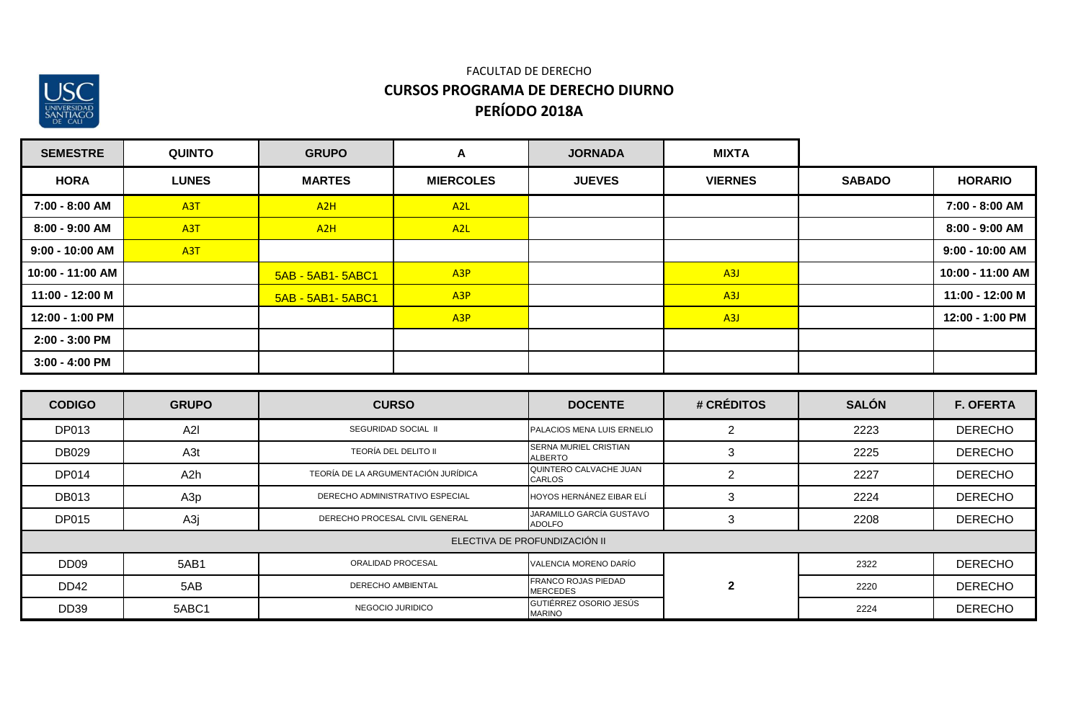

| <b>SEMESTRE</b>  | <b>QUINTO</b>    | <b>GRUPO</b>      | A                | <b>JORNADA</b> | <b>MIXTA</b>     |               |                  |
|------------------|------------------|-------------------|------------------|----------------|------------------|---------------|------------------|
| <b>HORA</b>      | <b>LUNES</b>     | <b>MARTES</b>     | <b>MIERCOLES</b> | <b>JUEVES</b>  | <b>VIERNES</b>   | <b>SABADO</b> | <b>HORARIO</b>   |
| 7:00 - 8:00 AM   | A <sub>3</sub> T | A2H               | A <sub>2</sub> L |                |                  |               | 7:00 - 8:00 AM   |
| 8:00 - 9:00 AM   | A <sub>3</sub> T | A2H               | A <sub>2</sub> L |                |                  |               | 8:00 - 9:00 AM   |
| 9:00 - 10:00 AM  | A <sub>3</sub> T |                   |                  |                |                  |               | 9:00 - 10:00 AM  |
| 10:00 - 11:00 AM |                  | 5AB - 5AB1- 5ABC1 | A <sub>3</sub> P |                | A <sub>3</sub> J |               | 10:00 - 11:00 AM |
| 11:00 - 12:00 M  |                  | 5AB - 5AB1- 5ABC1 | A <sub>3</sub> P |                | A <sub>3</sub> J |               | 11:00 - 12:00 M  |
| 12:00 - 1:00 PM  |                  |                   | A <sub>3</sub> P |                | A3J              |               | 12:00 - 1:00 PM  |
| 2:00 - 3:00 PM   |                  |                   |                  |                |                  |               |                  |
| $3:00 - 4:00$ PM |                  |                   |                  |                |                  |               |                  |

| <b>CODIGO</b>    | <b>GRUPO</b> | <b>CURSO</b>                        | <b>DOCENTE</b>                                 | # CRÉDITOS     | <b>SALÓN</b> | <b>F. OFERTA</b> |
|------------------|--------------|-------------------------------------|------------------------------------------------|----------------|--------------|------------------|
| DP013            | A2I          | SEGURIDAD SOCIAL II                 | PALACIOS MENA LUIS ERNELIO                     | 0              | 2223         | <b>DERECHO</b>   |
| <b>DB029</b>     | A3t          | <b>TEORÍA DEL DELITO II</b>         | <b>SERNA MURIEL CRISTIAN</b><br><b>ALBERTO</b> | 3              | 2225         | <b>DERECHO</b>   |
| <b>DP014</b>     | A2h          | TEORÍA DE LA ARGUMENTACIÓN JURÍDICA | QUINTERO CALVACHE JUAN<br><b>CARLOS</b>        | $\overline{2}$ | 2227         | <b>DERECHO</b>   |
| <b>DB013</b>     | A3p          | DERECHO ADMINISTRATIVO ESPECIAL     | HOYOS HERNÁNEZ EIBAR ELÍ                       | 3              | 2224         | <b>DERECHO</b>   |
| <b>DP015</b>     | A3j          | DERECHO PROCESAL CIVIL GENERAL      | JARAMILLO GARCÍA GUSTAVO<br><b>ADOLFO</b>      | 3              | 2208         | <b>DERECHO</b>   |
|                  |              |                                     | ELECTIVA DE PROFUNDIZACIÓN II                  |                |              |                  |
| DD <sub>09</sub> | 5AB1         | ORALIDAD PROCESAL                   | VALENCIA MORENO DARÍO                          |                | 2322         | <b>DERECHO</b>   |
| DD42             | 5AB          | <b>DERECHO AMBIENTAL</b>            | <b>FRANCO ROJAS PIEDAD</b><br><b>MERCEDES</b>  | $\overline{2}$ | 2220         | <b>DERECHO</b>   |
| <b>DD39</b>      | 5ABC1        | NEGOCIO JURIDICO                    | GUTIÉRREZ OSORIO JESÚS<br><b>MARINO</b>        |                | 2224         | <b>DERECHO</b>   |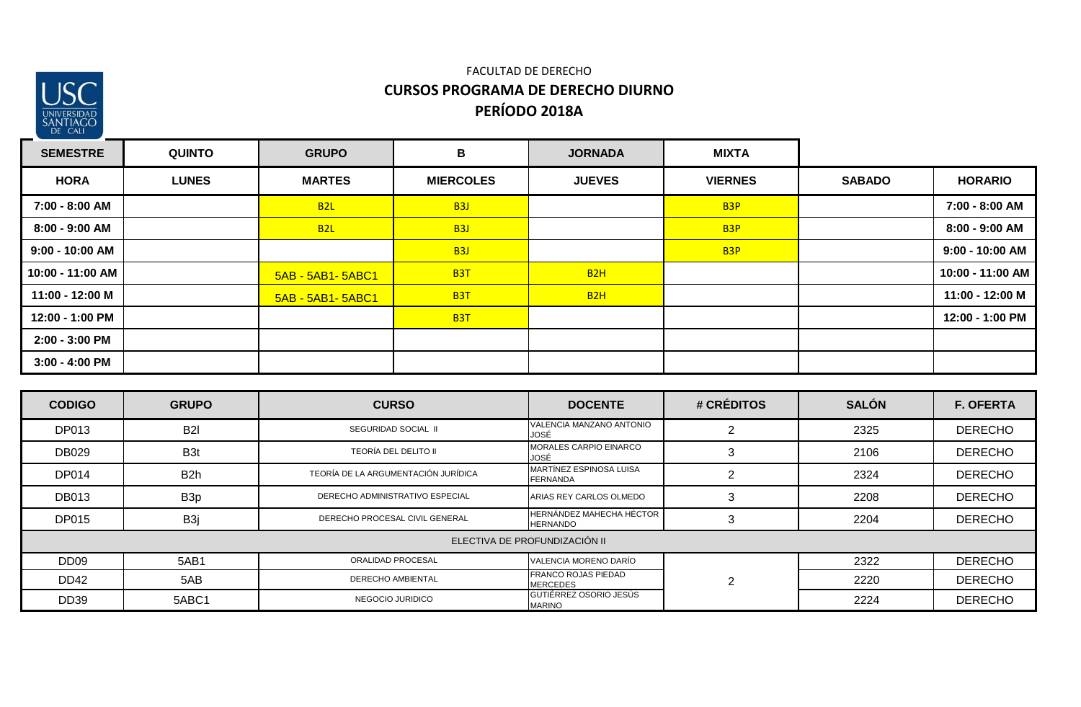

| <b>SEMESTRE</b>  | <b>QUINTO</b> | <b>GRUPO</b>      | B                | <b>JORNADA</b> | <b>MIXTA</b>     |               |                   |
|------------------|---------------|-------------------|------------------|----------------|------------------|---------------|-------------------|
| <b>HORA</b>      | <b>LUNES</b>  | <b>MARTES</b>     | <b>MIERCOLES</b> | <b>JUEVES</b>  | <b>VIERNES</b>   | <b>SABADO</b> | <b>HORARIO</b>    |
| 7:00 - 8:00 AM   |               | B <sub>2L</sub>   | B <sub>3</sub> J |                | B <sub>3</sub> P |               | 7:00 - 8:00 AM    |
| 8:00 - 9:00 AM   |               | B2L               | B <sub>3</sub> J |                | B <sub>3</sub> P |               | 8:00 - 9:00 AM    |
| 9:00 - 10:00 AM  |               |                   | <b>B3J</b>       |                | B <sub>3</sub> P |               | $9:00 - 10:00$ AM |
| 10:00 - 11:00 AM |               | 5AB - 5AB1- 5ABC1 | <b>B3T</b>       | B2H            |                  |               | 10:00 - 11:00 AM  |
| 11:00 - 12:00 M  |               | 5AB - 5AB1- 5ABC1 | <b>B3T</b>       | B2H            |                  |               | 11:00 - 12:00 M   |
| 12:00 - 1:00 PM  |               |                   | B <sub>3</sub> T |                |                  |               | 12:00 - 1:00 PM   |
| 2:00 - 3:00 PM   |               |                   |                  |                |                  |               |                   |
| $3:00 - 4:00$ PM |               |                   |                  |                |                  |               |                   |

| <b>CODIGO</b>    | <b>GRUPO</b>     | <b>CURSO</b>                        | <b>DOCENTE</b>                                | # CRÉDITOS | <b>SALÓN</b> | <b>F. OFERTA</b> |
|------------------|------------------|-------------------------------------|-----------------------------------------------|------------|--------------|------------------|
| DP013            | <b>B2I</b>       | SEGURIDAD SOCIAL II                 | VALENCIA MANZANO ANTONIO<br>JOSÉ              |            | 2325         | <b>DERECHO</b>   |
| <b>DB029</b>     | B <sub>3t</sub>  | <b>TEORÍA DEL DELITO II</b>         | <b>MORALES CARPIO EINARCO</b><br>JOSÉ         |            | 2106         | <b>DERECHO</b>   |
| <b>DP014</b>     | B <sub>2</sub> h | TEORÍA DE LA ARGUMENTACIÓN JURÍDICA | MARTÍNEZ ESPINOSA LUISA<br><b>FERNANDA</b>    | റ          | 2324         | <b>DERECHO</b>   |
| <b>DB013</b>     | B <sub>3p</sub>  | DERECHO ADMINISTRATIVO ESPECIAL     | ARIAS REY CARLOS OLMEDO                       | 3          | 2208         | <b>DERECHO</b>   |
| <b>DP015</b>     | B <sub>3j</sub>  | DERECHO PROCESAL CIVIL GENERAL      | HERNÁNDEZ MAHECHA HÉCTOR<br><b>HERNANDO</b>   |            | 2204         | <b>DERECHO</b>   |
|                  |                  |                                     | ELECTIVA DE PROFUNDIZACIÓN II                 |            |              |                  |
| DD <sub>09</sub> | 5AB1             | ORALIDAD PROCESAL                   | VALENCIA MORENO DARÍO                         |            | 2322         | <b>DERECHO</b>   |
| DD42             | 5AB              | <b>DERECHO AMBIENTAL</b>            | <b>FRANCO ROJAS PIEDAD</b><br><b>MERCEDES</b> | ◠          | 2220         | <b>DERECHO</b>   |
| <b>DD39</b>      | 5ABC1            | NEGOCIO JURIDICO                    | GUTIÉRREZ OSORIO JESÚS<br><b>MARINO</b>       |            | 2224         | <b>DERECHO</b>   |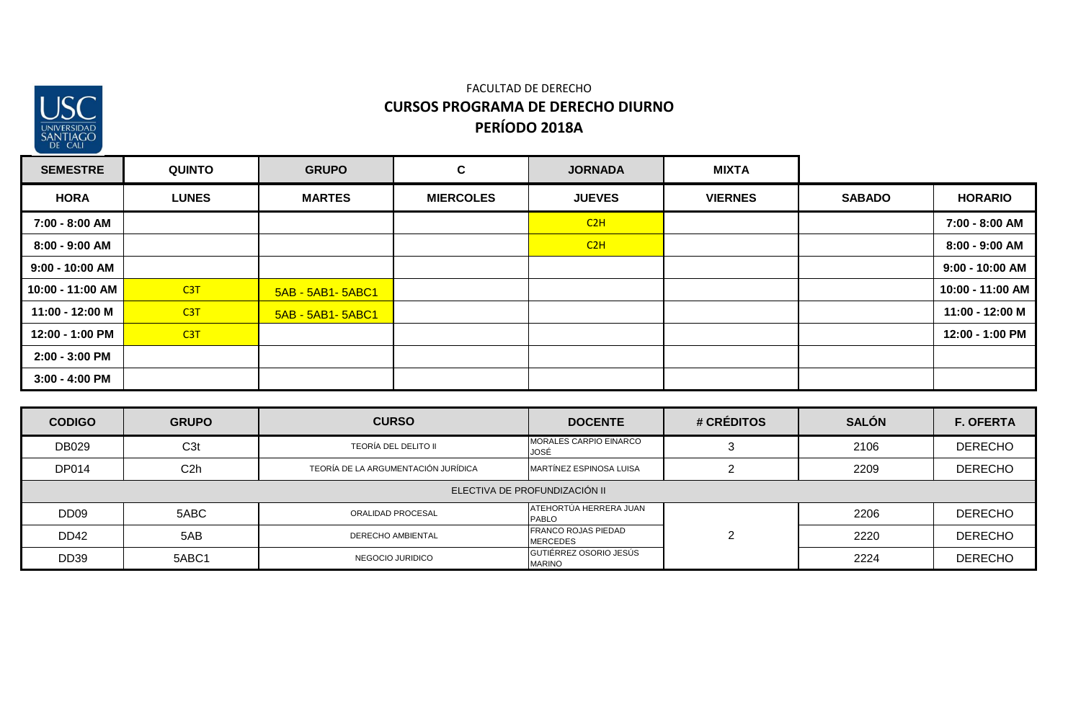

| <b>SEMESTRE</b>   | <b>QUINTO</b> | <b>GRUPO</b>       | $\mathbf{C}$     | <b>JORNADA</b> | <b>MIXTA</b>   |               |                  |
|-------------------|---------------|--------------------|------------------|----------------|----------------|---------------|------------------|
| <b>HORA</b>       | <b>LUNES</b>  | <b>MARTES</b>      | <b>MIERCOLES</b> | <b>JUEVES</b>  | <b>VIERNES</b> | <b>SABADO</b> | <b>HORARIO</b>   |
| 7:00 - 8:00 AM    |               |                    |                  | C2H            |                |               | 7:00 - 8:00 AM   |
| 8:00 - 9:00 AM    |               |                    |                  | C2H            |                |               | 8:00 - 9:00 AM   |
| $9:00 - 10:00$ AM |               |                    |                  |                |                |               | 9:00 - 10:00 AM  |
| 10:00 - 11:00 AM  | C3T           | 5AB - 5AB1- 5ABC1  |                  |                |                |               | 10:00 - 11:00 AM |
| 11:00 - 12:00 M   | C3T           | 5AB - 5AB1 - 5ABC1 |                  |                |                |               | 11:00 - 12:00 M  |
| 12:00 - 1:00 PM   | C3T           |                    |                  |                |                |               | 12:00 - 1:00 PM  |
| 2:00 - 3:00 PM    |               |                    |                  |                |                |               |                  |
| $3:00 - 4:00$ PM  |               |                    |                  |                |                |               |                  |

| <b>CODIGO</b>    | <b>GRUPO</b>                  | <b>CURSO</b>                                                   | <b>DOCENTE</b>                          | # CRÉDITOS | <b>SALÓN</b> | <b>F. OFERTA</b> |  |  |  |
|------------------|-------------------------------|----------------------------------------------------------------|-----------------------------------------|------------|--------------|------------------|--|--|--|
| DB029            | C <sub>3</sub> t              | <b>TEORÍA DEL DELITO II</b>                                    | <b>MORALES CARPIO EINARCO</b><br>JOSÉ   |            | 2106         | <b>DERECHO</b>   |  |  |  |
| <b>DP014</b>     | C <sub>2</sub> h              | TEORÍA DE LA ARGUMENTACIÓN JURÍDICA<br>MARTÍNEZ ESPINOSA LUISA |                                         |            | 2209         | <b>DERECHO</b>   |  |  |  |
|                  | ELECTIVA DE PROFUNDIZACIÓN II |                                                                |                                         |            |              |                  |  |  |  |
| DD <sub>09</sub> | 5ABC                          | <b>ORALIDAD PROCESAL</b>                                       | ATEHORTÚA HERRERA JUAN<br>PABLO         |            | 2206         | <b>DERECHO</b>   |  |  |  |
| DD42             | 5AB                           | <b>DERECHO AMBIENTAL</b>                                       | FRANCO ROJAS PIEDAD<br><b>MERCEDES</b>  | റ          | 2220         | <b>DERECHO</b>   |  |  |  |
| <b>DD39</b>      | 5ABC1                         | NEGOCIO JURIDICO                                               | GUTIÉRREZ OSORIO JESÚS<br><b>MARINO</b> |            | 2224         | <b>DERECHO</b>   |  |  |  |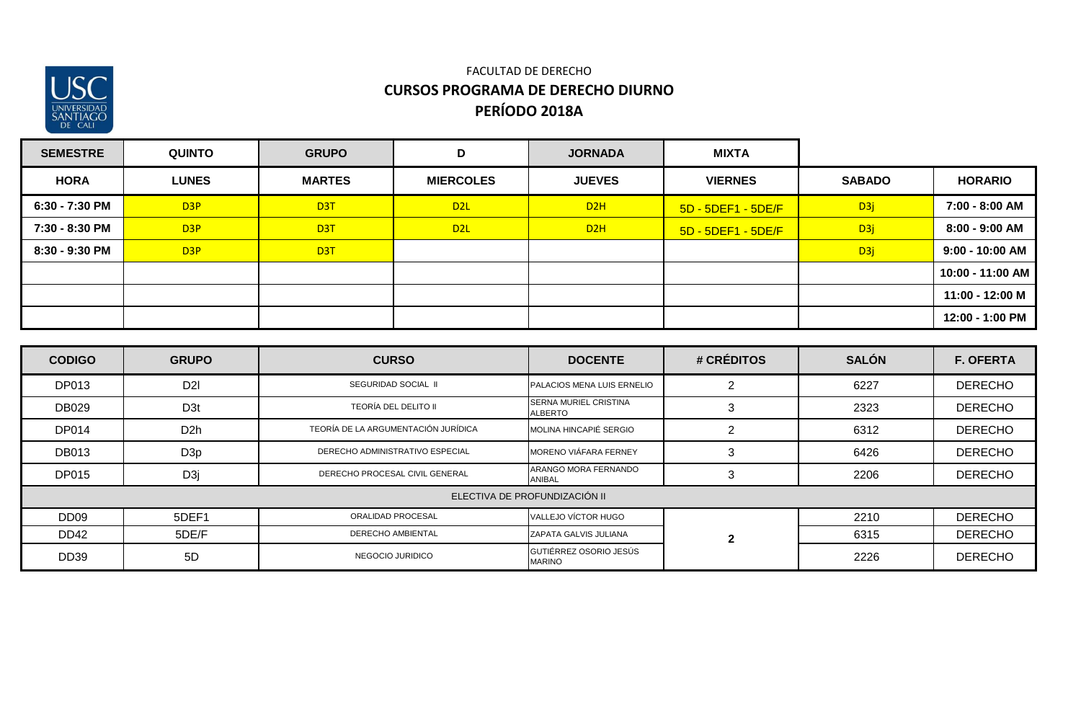

| <b>SEMESTRE</b> | <b>QUINTO</b>    | <b>GRUPO</b>     | D                | <b>JORNADA</b> | <b>MIXTA</b>       |                  |                   |
|-----------------|------------------|------------------|------------------|----------------|--------------------|------------------|-------------------|
| <b>HORA</b>     | <b>LUNES</b>     | <b>MARTES</b>    | <b>MIERCOLES</b> | <b>JUEVES</b>  | <b>VIERNES</b>     | <b>SABADO</b>    | <b>HORARIO</b>    |
| 6:30 - 7:30 PM  | D <sub>3</sub> P | D <sub>3</sub> T | D <sub>2L</sub>  | D2H            | 5D - 5DEF1 - 5DE/F | D <sub>3</sub> j | 7:00 - 8:00 AM    |
| 7:30 - 8:30 PM  | D <sub>3</sub> P | D <sub>3</sub> T | D <sub>2L</sub>  | D2H            | 5D - 5DEF1 - 5DE/F | D <sub>3</sub> j | 8:00 - 9:00 AM    |
| 8:30 - 9:30 PM  | D <sub>3</sub> P | D <sub>3</sub> T |                  |                |                    | D3j              | $9:00 - 10:00$ AM |
|                 |                  |                  |                  |                |                    |                  | 10:00 - 11:00 AM  |
|                 |                  |                  |                  |                |                    |                  | 11:00 - 12:00 M   |
|                 |                  |                  |                  |                |                    |                  | 12:00 - 1:00 PM   |

| <b>CODIGO</b>    | <b>GRUPO</b>     | <b>CURSO</b>                        | <b>DOCENTE</b>                                 | # CRÉDITOS     | <b>SALÓN</b> | <b>F. OFERTA</b> |
|------------------|------------------|-------------------------------------|------------------------------------------------|----------------|--------------|------------------|
| DP013            | D <sub>2</sub> I | SEGURIDAD SOCIAL II                 | PALACIOS MENA LUIS ERNELIO                     |                | 6227         | <b>DERECHO</b>   |
| DB029            | D <sub>3t</sub>  | TEORÍA DEL DELITO II                | <b>SERNA MURIEL CRISTINA</b><br><b>ALBERTO</b> | 3              | 2323         | <b>DERECHO</b>   |
| <b>DP014</b>     | D <sub>2</sub> h | TEORÍA DE LA ARGUMENTACIÓN JURÍDICA | MOLINA HINCAPIÉ SERGIO                         | $\overline{2}$ | 6312         | <b>DERECHO</b>   |
| <b>DB013</b>     | D <sub>3p</sub>  | DERECHO ADMINISTRATIVO ESPECIAL     | MORENO VIÁFARA FERNEY                          | 3              | 6426         | <b>DERECHO</b>   |
| DP015            | D <sub>3j</sub>  | DERECHO PROCESAL CIVIL GENERAL      | ARANGO MORA FERNANDO<br>ANIBAL                 | 3              | 2206         | <b>DERECHO</b>   |
|                  |                  |                                     | ELECTIVA DE PROFUNDIZACIÓN II                  |                |              |                  |
| DD <sub>09</sub> | 5DEF1            | ORALIDAD PROCESAL                   | VALLEJO VÍCTOR HUGO                            |                | 2210         | <b>DERECHO</b>   |
| DD42             | 5DE/F            | <b>DERECHO AMBIENTAL</b>            | ZAPATA GALVIS JULIANA                          | $\mathbf{2}$   | 6315         | <b>DERECHO</b>   |
| <b>DD39</b>      | 5D               | NEGOCIO JURIDICO                    | GUTIÉRREZ OSORIO JESÚS<br><b>MARINO</b>        |                | 2226         | <b>DERECHO</b>   |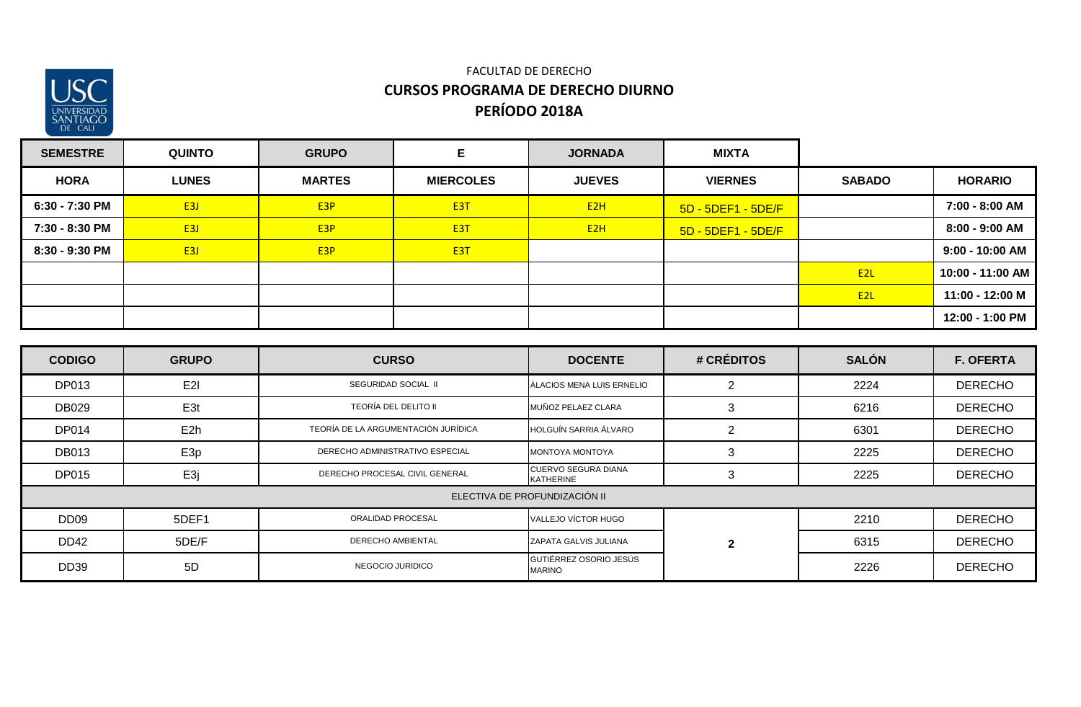

| <b>SEMESTRE</b> | <b>QUINTO</b> | <b>GRUPO</b>     | Е                | <b>JORNADA</b>   | <b>MIXTA</b>       |                  |                   |
|-----------------|---------------|------------------|------------------|------------------|--------------------|------------------|-------------------|
| <b>HORA</b>     | <b>LUNES</b>  | <b>MARTES</b>    | <b>MIERCOLES</b> | <b>JUEVES</b>    | <b>VIERNES</b>     | <b>SABADO</b>    | <b>HORARIO</b>    |
| 6:30 - 7:30 PM  | E3J           | E3P              | E <sub>3</sub> T | E <sub>2</sub> H | 5D - 5DEF1 - 5DE/F |                  | 7:00 - 8:00 AM    |
| 7:30 - 8:30 PM  | E3J           | E <sub>3</sub> P | E <sub>3</sub> T | E <sub>2</sub> H | 5D - 5DEF1 - 5DE/F |                  | 8:00 - 9:00 AM    |
| 8:30 - 9:30 PM  | E3J           | E <sub>3</sub> P | E <sub>3</sub> T |                  |                    |                  | $9:00 - 10:00$ AM |
|                 |               |                  |                  |                  |                    | E2L              | 10:00 - 11:00 AM  |
|                 |               |                  |                  |                  |                    | E <sub>2</sub> L | 11:00 - 12:00 M   |
|                 |               |                  |                  |                  |                    |                  | 12:00 - 1:00 PM   |

| <b>CODIGO</b>    | <b>GRUPO</b>    | <b>CURSO</b>                        | <b>DOCENTE</b>                          | # CRÉDITOS     | <b>SALÓN</b> | <b>F. OFERTA</b> |
|------------------|-----------------|-------------------------------------|-----------------------------------------|----------------|--------------|------------------|
| DP013            | E <sub>2</sub>  | SEGURIDAD SOCIAL II                 | <b>ALACIOS MENA LUIS ERNELIO</b>        | 2              | 2224         | <b>DERECHO</b>   |
| DB029            | E <sub>3t</sub> | TEORÍA DEL DELITO II                | MUÑOZ PELAEZ CLARA                      | 3              | 6216         | <b>DERECHO</b>   |
| <b>DP014</b>     | E <sub>2h</sub> | TEORÍA DE LA ARGUMENTACIÓN JURÍDICA | HOLGUÍN SARRIA ÁLVARO                   | $\overline{2}$ | 6301         | <b>DERECHO</b>   |
| <b>DB013</b>     | E <sub>3p</sub> | DERECHO ADMINISTRATIVO ESPECIAL     | MONTOYA MONTOYA                         | 3              | 2225         | <b>DERECHO</b>   |
| <b>DP015</b>     | E3j             | DERECHO PROCESAL CIVIL GENERAL      | CUERVO SEGURA DIANA<br><b>KATHERINE</b> | 3              | 2225         | <b>DERECHO</b>   |
|                  |                 |                                     | ELECTIVA DE PROFUNDIZACIÓN II           |                |              |                  |
| DD <sub>09</sub> | 5DEF1           | ORALIDAD PROCESAL                   | VALLEJO VÍCTOR HUGO                     |                | 2210         | <b>DERECHO</b>   |
| DD42             | 5DE/F           | DERECHO AMBIENTAL                   | ZAPATA GALVIS JULIANA                   | $\mathbf{2}$   | 6315         | <b>DERECHO</b>   |
| <b>DD39</b>      | 5D              | NEGOCIO JURIDICO                    | GUTIÉRREZ OSORIO JESÚS<br><b>MARINO</b> |                | 2226         | <b>DERECHO</b>   |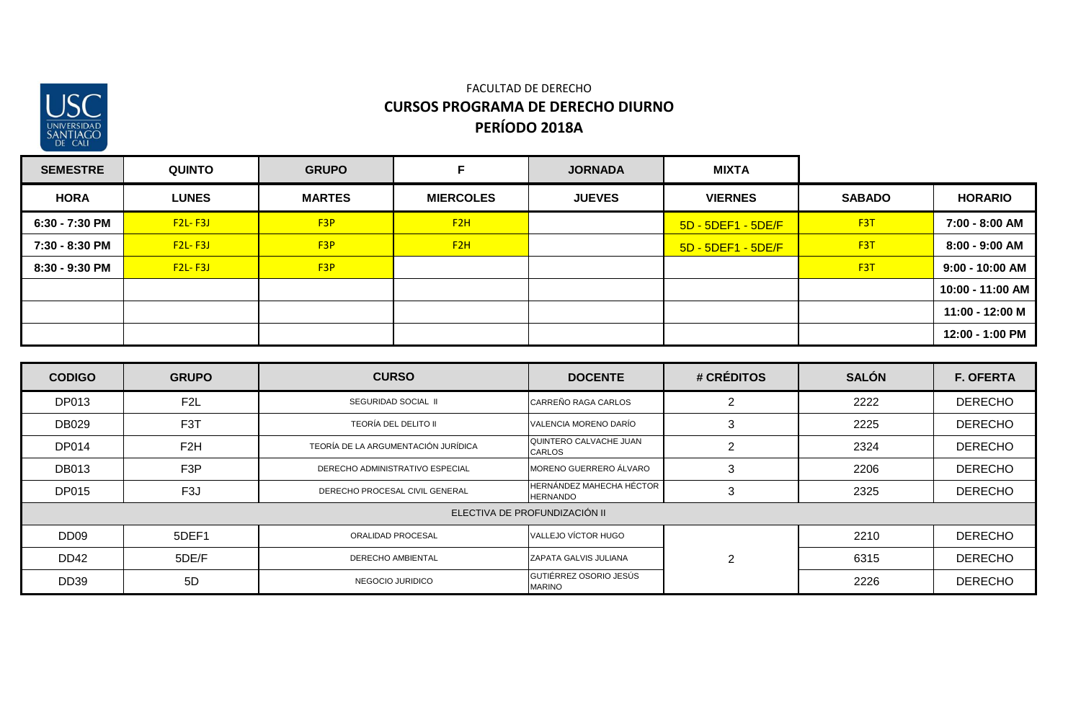

| <b>SEMESTRE</b> | <b>QUINTO</b> | <b>GRUPO</b>     |                  | <b>JORNADA</b> | <b>MIXTA</b>       |                  |                   |
|-----------------|---------------|------------------|------------------|----------------|--------------------|------------------|-------------------|
| <b>HORA</b>     | <b>LUNES</b>  | <b>MARTES</b>    | <b>MIERCOLES</b> | <b>JUEVES</b>  | <b>VIERNES</b>     | <b>SABADO</b>    | <b>HORARIO</b>    |
| 6:30 - 7:30 PM  | $F2L-F3J$     | F <sub>3</sub> P | F2H              |                | 5D - 5DEF1 - 5DE/F | F <sub>3</sub> T | 7:00 - 8:00 AM    |
| 7:30 - 8:30 PM  | $F2L-F3J$     | F3P              | F2H              |                | 5D - 5DEF1 - 5DE/F | F <sub>3</sub> T | 8:00 - 9:00 AM    |
| 8:30 - 9:30 PM  | $F2L-F3J$     | F <sub>3</sub> P |                  |                |                    | F <sub>3</sub> T | $9:00 - 10:00$ AM |
|                 |               |                  |                  |                |                    |                  | 10:00 - 11:00 AM  |
|                 |               |                  |                  |                |                    |                  | 11:00 - 12:00 M   |
|                 |               |                  |                  |                |                    |                  | 12:00 - 1:00 PM   |

| <b>CODIGO</b>    | <b>GRUPO</b>     | <b>CURSO</b>                        | <b>DOCENTE</b>                                     | # CRÉDITOS     | <b>SALÓN</b> | <b>F. OFERTA</b> |
|------------------|------------------|-------------------------------------|----------------------------------------------------|----------------|--------------|------------------|
| DP013            | F <sub>2</sub> L | SEGURIDAD SOCIAL II                 | CARREÑO RAGA CARLOS                                | റ              | 2222         | <b>DERECHO</b>   |
| <b>DB029</b>     | F <sub>3</sub> T | <b>TEORÍA DEL DELITO II</b>         | VALENCIA MORENO DARÍO                              | 3              | 2225         | <b>DERECHO</b>   |
| <b>DP014</b>     | F <sub>2</sub> H | TEORÍA DE LA ARGUMENTACIÓN JURÍDICA | QUINTERO CALVACHE JUAN<br><b>CARLOS</b>            | $\overline{2}$ | 2324         | <b>DERECHO</b>   |
| <b>DB013</b>     | F <sub>3</sub> P | DERECHO ADMINISTRATIVO ESPECIAL     | MORENO GUERRERO ÁLVARO                             | 3              | 2206         | <b>DERECHO</b>   |
| <b>DP015</b>     | F <sub>3</sub> J | DERECHO PROCESAL CIVIL GENERAL      | <b>HERNÁNDEZ MAHECHA HÉCTOR</b><br><b>HERNANDO</b> | 3              | 2325         | <b>DERECHO</b>   |
|                  |                  |                                     | ELECTIVA DE PROFUNDIZACIÓN II                      |                |              |                  |
| DD <sub>09</sub> | 5DEF1            | ORALIDAD PROCESAL                   | VALLEJO VÍCTOR HUGO                                |                | 2210         | <b>DERECHO</b>   |
| <b>DD42</b>      | 5DE/F            | <b>DERECHO AMBIENTAL</b>            | ZAPATA GALVIS JULIANA                              | $\overline{2}$ | 6315         | <b>DERECHO</b>   |
| <b>DD39</b>      | 5D               | NEGOCIO JURIDICO                    | GUTIÉRREZ OSORIO JESÚS<br><b>MARINO</b>            |                | 2226         | <b>DERECHO</b>   |